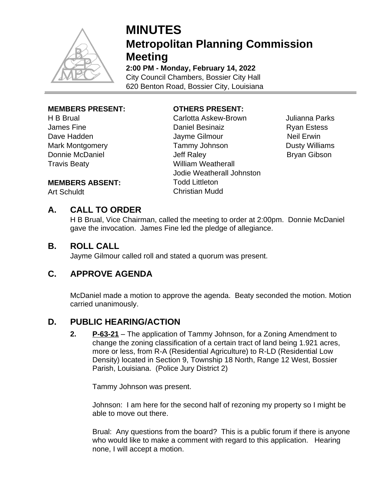

# **MINUTES Metropolitan Planning Commission Meeting**

**2:00 PM - Monday, February 14, 2022** City Council Chambers, Bossier City Hall 620 Benton Road, Bossier City, Louisiana

#### **MEMBERS PRESENT:**

H B Brual James Fine Dave Hadden Mark Montgomery Donnie McDaniel Travis Beaty

### **OTHERS PRESENT:**

Carlotta Askew-Brown Julianna Parks Daniel Besinaiz **Ryan Estess** Jayme Gilmour Neil Erwin Tammy Johnson **Dusty Williams** Jeff Raley **Bryan Gibson** William Weatherall Jodie Weatherall Johnston Todd Littleton Christian Mudd

#### **MEMBERS ABSENT:**

Art Schuldt

# **A. CALL TO ORDER**

H B Brual, Vice Chairman, called the meeting to order at 2:00pm. Donnie McDaniel gave the invocation. James Fine led the pledge of allegiance.

#### **B. ROLL CALL**

Jayme Gilmour called roll and stated a quorum was present.

# **C. APPROVE AGENDA**

McDaniel made a motion to approve the agenda. Beaty seconded the motion. Motion carried unanimously.

# **D. PUBLIC HEARING/ACTION**

**2. P-63-21** – The application of Tammy Johnson, for a Zoning Amendment to change the zoning classification of a certain tract of land being 1.921 acres, more or less, from R-A (Residential Agriculture) to R-LD (Residential Low Density) located in Section 9, Township 18 North, Range 12 West, Bossier Parish, Louisiana. (Police Jury District 2)

Tammy Johnson was present.

Johnson: I am here for the second half of rezoning my property so I might be able to move out there.

Brual: Any questions from the board? This is a public forum if there is anyone who would like to make a comment with regard to this application. Hearing none, I will accept a motion.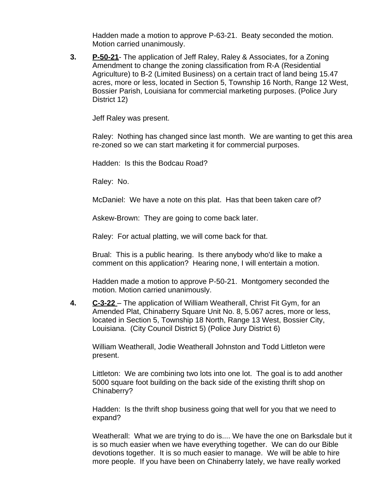Hadden made a motion to approve P-63-21. Beaty seconded the motion. Motion carried unanimously.

**3. P-50-21**- The application of Jeff Raley, Raley & Associates, for a Zoning Amendment to change the zoning classification from R-A (Residential Agriculture) to B-2 (Limited Business) on a certain tract of land being 15.47 acres, more or less, located in Section 5, Township 16 North, Range 12 West, Bossier Parish, Louisiana for commercial marketing purposes. (Police Jury District 12)

Jeff Raley was present.

Raley: Nothing has changed since last month. We are wanting to get this area re-zoned so we can start marketing it for commercial purposes.

Hadden: Is this the Bodcau Road?

Raley: No.

McDaniel: We have a note on this plat. Has that been taken care of?

Askew-Brown: They are going to come back later.

Raley: For actual platting, we will come back for that.

Brual: This is a public hearing. Is there anybody who'd like to make a comment on this application? Hearing none, I will entertain a motion.

Hadden made a motion to approve P-50-21. Montgomery seconded the motion. Motion carried unanimously.

**4. C-3-22** – The application of William Weatherall, Christ Fit Gym, for an Amended Plat, Chinaberry Square Unit No. 8, 5.067 acres, more or less, located in Section 5, Township 18 North, Range 13 West, Bossier City, Louisiana. (City Council District 5) (Police Jury District 6)

William Weatherall, Jodie Weatherall Johnston and Todd Littleton were present.

Littleton: We are combining two lots into one lot. The goal is to add another 5000 square foot building on the back side of the existing thrift shop on Chinaberry?

Hadden: Is the thrift shop business going that well for you that we need to expand?

Weatherall: What we are trying to do is.... We have the one on Barksdale but it is so much easier when we have everything together. We can do our Bible devotions together. It is so much easier to manage. We will be able to hire more people. If you have been on Chinaberry lately, we have really worked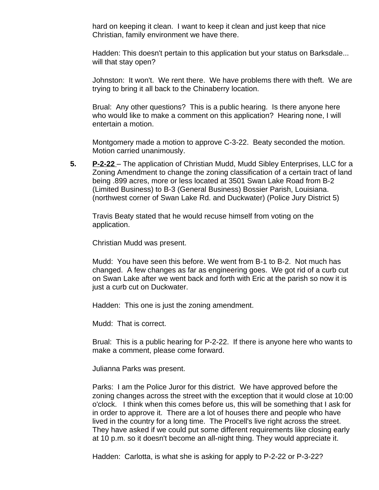hard on keeping it clean. I want to keep it clean and just keep that nice Christian, family environment we have there.

Hadden: This doesn't pertain to this application but your status on Barksdale... will that stay open?

Johnston: It won't. We rent there. We have problems there with theft. We are trying to bring it all back to the Chinaberry location.

Brual: Any other questions? This is a public hearing. Is there anyone here who would like to make a comment on this application? Hearing none, I will entertain a motion.

Montgomery made a motion to approve C-3-22. Beaty seconded the motion. Motion carried unanimously.

**5. P-2-22** – The application of Christian Mudd, Mudd Sibley Enterprises, LLC for a Zoning Amendment to change the zoning classification of a certain tract of land being .899 acres, more or less located at 3501 Swan Lake Road from B-2 (Limited Business) to B-3 (General Business) Bossier Parish, Louisiana. (northwest corner of Swan Lake Rd. and Duckwater) (Police Jury District 5)

Travis Beaty stated that he would recuse himself from voting on the application.

Christian Mudd was present.

Mudd: You have seen this before. We went from B-1 to B-2. Not much has changed. A few changes as far as engineering goes. We got rid of a curb cut on Swan Lake after we went back and forth with Eric at the parish so now it is just a curb cut on Duckwater.

Hadden: This one is just the zoning amendment.

Mudd: That is correct.

Brual: This is a public hearing for P-2-22. If there is anyone here who wants to make a comment, please come forward.

Julianna Parks was present.

Parks: I am the Police Juror for this district. We have approved before the zoning changes across the street with the exception that it would close at 10:00 o'clock. I think when this comes before us, this will be something that I ask for in order to approve it. There are a lot of houses there and people who have lived in the country for a long time. The Procell's live right across the street. They have asked if we could put some different requirements like closing early at 10 p.m. so it doesn't become an all-night thing. They would appreciate it.

Hadden: Carlotta, is what she is asking for apply to P-2-22 or P-3-22?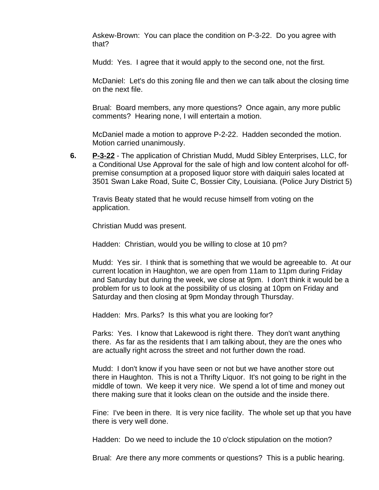Askew-Brown: You can place the condition on P-3-22. Do you agree with that?

Mudd: Yes. I agree that it would apply to the second one, not the first.

McDaniel: Let's do this zoning file and then we can talk about the closing time on the next file.

Brual: Board members, any more questions? Once again, any more public comments? Hearing none, I will entertain a motion.

McDaniel made a motion to approve P-2-22. Hadden seconded the motion. Motion carried unanimously.

**6. P-3-22** - The application of Christian Mudd, Mudd Sibley Enterprises, LLC, for a Conditional Use Approval for the sale of high and low content alcohol for offpremise consumption at a proposed liquor store with daiquiri sales located at 3501 Swan Lake Road, Suite C, Bossier City, Louisiana. (Police Jury District 5)

Travis Beaty stated that he would recuse himself from voting on the application.

Christian Mudd was present.

Hadden: Christian, would you be willing to close at 10 pm?

Mudd: Yes sir. I think that is something that we would be agreeable to. At our current location in Haughton, we are open from 11am to 11pm during Friday and Saturday but during the week, we close at 9pm. I don't think it would be a problem for us to look at the possibility of us closing at 10pm on Friday and Saturday and then closing at 9pm Monday through Thursday.

Hadden: Mrs. Parks? Is this what you are looking for?

Parks: Yes. I know that Lakewood is right there. They don't want anything there. As far as the residents that I am talking about, they are the ones who are actually right across the street and not further down the road.

Mudd: I don't know if you have seen or not but we have another store out there in Haughton. This is not a Thrifty Liquor. It's not going to be right in the middle of town. We keep it very nice. We spend a lot of time and money out there making sure that it looks clean on the outside and the inside there.

Fine: I've been in there. It is very nice facility. The whole set up that you have there is very well done.

Hadden: Do we need to include the 10 o'clock stipulation on the motion?

Brual: Are there any more comments or questions? This is a public hearing.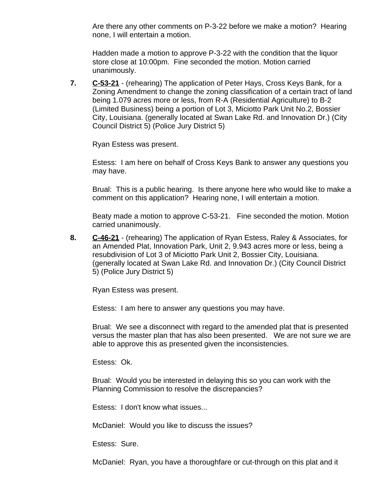Are there any other comments on P-3-22 before we make a motion? Hearing none, I will entertain a motion.

Hadden made a motion to approve P-3-22 with the condition that the liquor store close at 10:00pm. Fine seconded the motion. Motion carried unanimously.

**7. C-53-21** - (rehearing) The application of Peter Hays, Cross Keys Bank, for a Zoning Amendment to change the zoning classification of a certain tract of land being 1.079 acres more or less, from R-A (Residential Agriculture) to B-2 (Limited Business) being a portion of Lot 3, Miciotto Park Unit No.2, Bossier City, Louisiana. (generally located at Swan Lake Rd. and Innovation Dr.) (City Council District 5) (Police Jury District 5)

Ryan Estess was present.

Estess: I am here on behalf of Cross Keys Bank to answer any questions you may have.

Brual: This is a public hearing. Is there anyone here who would like to make a comment on this application? Hearing none, I will entertain a motion.

Beaty made a motion to approve C-53-21. Fine seconded the motion. Motion carried unanimously.

**8. C-46-21** - (rehearing) The application of Ryan Estess, Raley & Associates, for an Amended Plat, Innovation Park, Unit 2, 9.943 acres more or less, being a resubdivision of Lot 3 of Miciotto Park Unit 2, Bossier City, Louisiana. (generally located at Swan Lake Rd. and Innovation Dr.) (City Council District 5) (Police Jury District 5)

Ryan Estess was present.

Estess: I am here to answer any questions you may have.

Brual: We see a disconnect with regard to the amended plat that is presented versus the master plan that has also been presented. We are not sure we are able to approve this as presented given the inconsistencies.

Estess: Ok.

Brual: Would you be interested in delaying this so you can work with the Planning Commission to resolve the discrepancies?

Estess: I don't know what issues...

McDaniel: Would you like to discuss the issues?

Estess: Sure.

McDaniel: Ryan, you have a thoroughfare or cut-through on this plat and it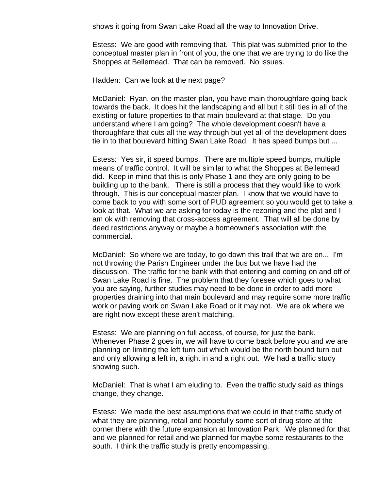shows it going from Swan Lake Road all the way to Innovation Drive.

Estess: We are good with removing that. This plat was submitted prior to the conceptual master plan in front of you, the one that we are trying to do like the Shoppes at Bellemead. That can be removed. No issues.

Hadden: Can we look at the next page?

McDaniel: Ryan, on the master plan, you have main thoroughfare going back towards the back. It does hit the landscaping and all but it still ties in all of the existing or future properties to that main boulevard at that stage. Do you understand where I am going? The whole development doesn't have a thoroughfare that cuts all the way through but yet all of the development does tie in to that boulevard hitting Swan Lake Road. It has speed bumps but ...

Estess: Yes sir, it speed bumps. There are multiple speed bumps, multiple means of traffic control. It will be similar to what the Shoppes at Bellemead did. Keep in mind that this is only Phase 1 and they are only going to be building up to the bank. There is still a process that they would like to work through. This is our conceptual master plan. I know that we would have to come back to you with some sort of PUD agreement so you would get to take a look at that. What we are asking for today is the rezoning and the plat and I am ok with removing that cross-access agreement. That will all be done by deed restrictions anyway or maybe a homeowner's association with the commercial.

McDaniel: So where we are today, to go down this trail that we are on... I'm not throwing the Parish Engineer under the bus but we have had the discussion. The traffic for the bank with that entering and coming on and off of Swan Lake Road is fine. The problem that they foresee which goes to what you are saying, further studies may need to be done in order to add more properties draining into that main boulevard and may require some more traffic work or paving work on Swan Lake Road or it may not. We are ok where we are right now except these aren't matching.

Estess: We are planning on full access, of course, for just the bank. Whenever Phase 2 goes in, we will have to come back before you and we are planning on limiting the left turn out which would be the north bound turn out and only allowing a left in, a right in and a right out. We had a traffic study showing such.

McDaniel: That is what I am eluding to. Even the traffic study said as things change, they change.

Estess: We made the best assumptions that we could in that traffic study of what they are planning, retail and hopefully some sort of drug store at the corner there with the future expansion at Innovation Park. We planned for that and we planned for retail and we planned for maybe some restaurants to the south. I think the traffic study is pretty encompassing.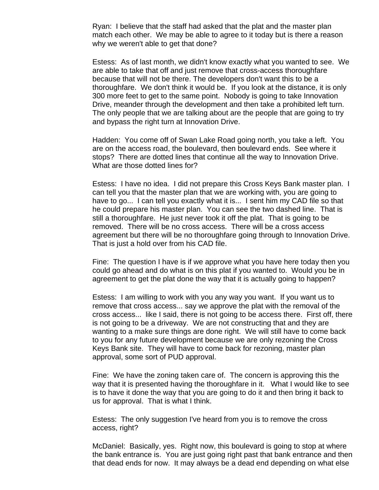Ryan: I believe that the staff had asked that the plat and the master plan match each other. We may be able to agree to it today but is there a reason why we weren't able to get that done?

Estess: As of last month, we didn't know exactly what you wanted to see. We are able to take that off and just remove that cross-access thoroughfare because that will not be there. The developers don't want this to be a thoroughfare. We don't think it would be. If you look at the distance, it is only 300 more feet to get to the same point. Nobody is going to take Innovation Drive, meander through the development and then take a prohibited left turn. The only people that we are talking about are the people that are going to try and bypass the right turn at Innovation Drive.

Hadden: You come off of Swan Lake Road going north, you take a left. You are on the access road, the boulevard, then boulevard ends. See where it stops? There are dotted lines that continue all the way to Innovation Drive. What are those dotted lines for?

Estess: I have no idea. I did not prepare this Cross Keys Bank master plan. I can tell you that the master plan that we are working with, you are going to have to go... I can tell you exactly what it is... I sent him my CAD file so that he could prepare his master plan. You can see the two dashed line. That is still a thoroughfare. He just never took it off the plat. That is going to be removed. There will be no cross access. There will be a cross access agreement but there will be no thoroughfare going through to Innovation Drive. That is just a hold over from his CAD file.

Fine: The question I have is if we approve what you have here today then you could go ahead and do what is on this plat if you wanted to. Would you be in agreement to get the plat done the way that it is actually going to happen?

Estess: I am willing to work with you any way you want. If you want us to remove that cross access... say we approve the plat with the removal of the cross access... like I said, there is not going to be access there. First off, there is not going to be a driveway. We are not constructing that and they are wanting to a make sure things are done right. We will still have to come back to you for any future development because we are only rezoning the Cross Keys Bank site. They will have to come back for rezoning, master plan approval, some sort of PUD approval.

Fine: We have the zoning taken care of. The concern is approving this the way that it is presented having the thoroughfare in it. What I would like to see is to have it done the way that you are going to do it and then bring it back to us for approval. That is what I think.

Estess: The only suggestion I've heard from you is to remove the cross access, right?

McDaniel: Basically, yes. Right now, this boulevard is going to stop at where the bank entrance is. You are just going right past that bank entrance and then that dead ends for now. It may always be a dead end depending on what else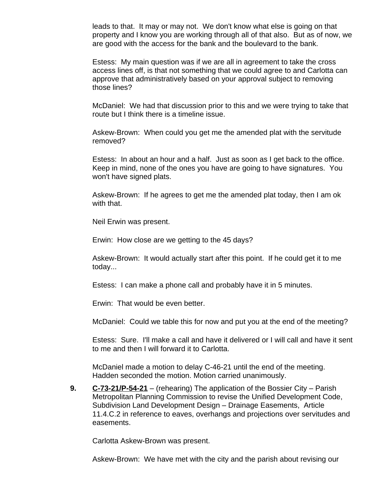leads to that. It may or may not. We don't know what else is going on that property and I know you are working through all of that also. But as of now, we are good with the access for the bank and the boulevard to the bank.

Estess: My main question was if we are all in agreement to take the cross access lines off, is that not something that we could agree to and Carlotta can approve that administratively based on your approval subject to removing those lines?

McDaniel: We had that discussion prior to this and we were trying to take that route but I think there is a timeline issue.

Askew-Brown: When could you get me the amended plat with the servitude removed?

Estess: In about an hour and a half. Just as soon as I get back to the office. Keep in mind, none of the ones you have are going to have signatures. You won't have signed plats.

Askew-Brown: If he agrees to get me the amended plat today, then I am ok with that.

Neil Erwin was present.

Erwin: How close are we getting to the 45 days?

Askew-Brown: It would actually start after this point. If he could get it to me today...

Estess: I can make a phone call and probably have it in 5 minutes.

Erwin: That would be even better.

McDaniel: Could we table this for now and put you at the end of the meeting?

Estess: Sure. I'll make a call and have it delivered or I will call and have it sent to me and then I will forward it to Carlotta.

McDaniel made a motion to delay C-46-21 until the end of the meeting. Hadden seconded the motion. Motion carried unanimously.

**9. C-73-21/P-54-21** – (rehearing) The application of the Bossier City – Parish Metropolitan Planning Commission to revise the Unified Development Code, Subdivision Land Development Design – Drainage Easements, Article 11.4.C.2 in reference to eaves, overhangs and projections over servitudes and easements.

Carlotta Askew-Brown was present.

Askew-Brown: We have met with the city and the parish about revising our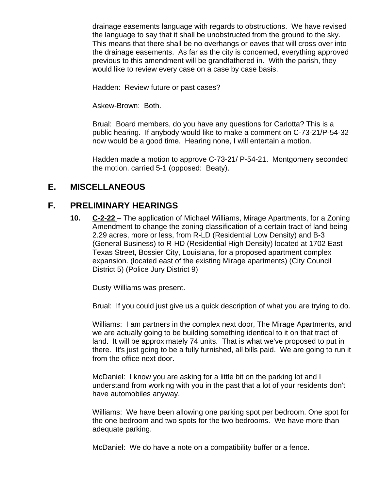drainage easements language with regards to obstructions. We have revised the language to say that it shall be unobstructed from the ground to the sky. This means that there shall be no overhangs or eaves that will cross over into the drainage easements. As far as the city is concerned, everything approved previous to this amendment will be grandfathered in. With the parish, they would like to review every case on a case by case basis.

Hadden: Review future or past cases?

Askew-Brown: Both.

Brual: Board members, do you have any questions for Carlotta? This is a public hearing. If anybody would like to make a comment on C-73-21/P-54-32 now would be a good time. Hearing none, I will entertain a motion.

Hadden made a motion to approve C-73-21/ P-54-21. Montgomery seconded the motion. carried 5-1 (opposed: Beaty).

#### **E. MISCELLANEOUS**

#### **F. PRELIMINARY HEARINGS**

**10. C-2-22** – The application of Michael Williams, Mirage Apartments, for a Zoning Amendment to change the zoning classification of a certain tract of land being 2.29 acres, more or less, from R-LD (Residential Low Density) and B-3 (General Business) to R-HD (Residential High Density) located at 1702 East Texas Street, Bossier City, Louisiana, for a proposed apartment complex expansion. (located east of the existing Mirage apartments) (City Council District 5) (Police Jury District 9)

Dusty Williams was present.

Brual: If you could just give us a quick description of what you are trying to do.

Williams: I am partners in the complex next door, The Mirage Apartments, and we are actually going to be building something identical to it on that tract of land. It will be approximately 74 units. That is what we've proposed to put in there. It's just going to be a fully furnished, all bills paid. We are going to run it from the office next door.

McDaniel: I know you are asking for a little bit on the parking lot and I understand from working with you in the past that a lot of your residents don't have automobiles anyway.

Williams: We have been allowing one parking spot per bedroom. One spot for the one bedroom and two spots for the two bedrooms. We have more than adequate parking.

McDaniel: We do have a note on a compatibility buffer or a fence.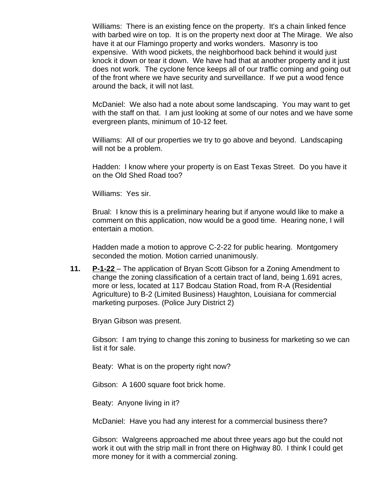Williams: There is an existing fence on the property. It's a chain linked fence with barbed wire on top. It is on the property next door at The Mirage. We also have it at our Flamingo property and works wonders. Masonry is too expensive. With wood pickets, the neighborhood back behind it would just knock it down or tear it down. We have had that at another property and it just does not work. The cyclone fence keeps all of our traffic coming and going out of the front where we have security and surveillance. If we put a wood fence around the back, it will not last.

McDaniel: We also had a note about some landscaping. You may want to get with the staff on that. I am just looking at some of our notes and we have some evergreen plants, minimum of 10-12 feet.

Williams: All of our properties we try to go above and beyond. Landscaping will not be a problem.

Hadden: I know where your property is on East Texas Street. Do you have it on the Old Shed Road too?

Williams: Yes sir.

Brual: I know this is a preliminary hearing but if anyone would like to make a comment on this application, now would be a good time. Hearing none, I will entertain a motion.

Hadden made a motion to approve C-2-22 for public hearing. Montgomery seconded the motion. Motion carried unanimously.

**11. P-1-22** – The application of Bryan Scott Gibson for a Zoning Amendment to change the zoning classification of a certain tract of land, being 1.691 acres, more or less, located at 117 Bodcau Station Road, from R-A (Residential Agriculture) to B-2 (Limited Business) Haughton, Louisiana for commercial marketing purposes. (Police Jury District 2)

Bryan Gibson was present.

Gibson: I am trying to change this zoning to business for marketing so we can list it for sale.

Beaty: What is on the property right now?

Gibson: A 1600 square foot brick home.

Beaty: Anyone living in it?

McDaniel: Have you had any interest for a commercial business there?

Gibson: Walgreens approached me about three years ago but the could not work it out with the strip mall in front there on Highway 80. I think I could get more money for it with a commercial zoning.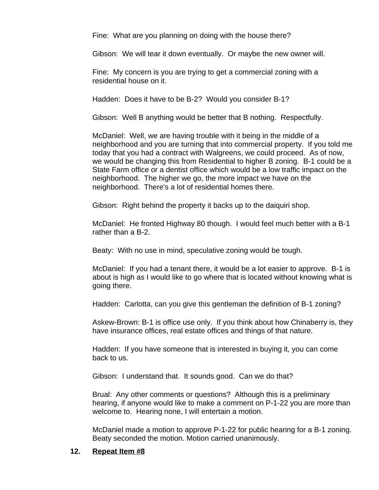Fine: What are you planning on doing with the house there?

Gibson: We will tear it down eventually. Or maybe the new owner will.

Fine: My concern is you are trying to get a commercial zoning with a residential house on it.

Hadden: Does it have to be B-2? Would you consider B-1?

Gibson: Well B anything would be better that B nothing. Respectfully.

McDaniel: Well, we are having trouble with it being in the middle of a neighborhood and you are turning that into commercial property. If you told me today that you had a contract with Walgreens, we could proceed. As of now, we would be changing this from Residential to higher B zoning. B-1 could be a State Farm office or a dentist office which would be a low traffic impact on the neighborhood. The higher we go, the more impact we have on the neighborhood. There's a lot of residential homes there.

Gibson: Right behind the property it backs up to the daiquiri shop.

McDaniel: He fronted Highway 80 though. I would feel much better with a B-1 rather than a B-2.

Beaty: With no use in mind, speculative zoning would be tough.

McDaniel: If you had a tenant there, it would be a lot easier to approve. B-1 is about is high as I would like to go where that is located without knowing what is going there.

Hadden: Carlotta, can you give this gentleman the definition of B-1 zoning?

Askew-Brown: B-1 is office use only. If you think about how Chinaberry is, they have insurance offices, real estate offices and things of that nature.

Hadden: If you have someone that is interested in buying it, you can come back to us.

Gibson: I understand that. It sounds good. Can we do that?

Brual: Any other comments or questions? Although this is a preliminary hearing, if anyone would like to make a comment on P-1-22 you are more than welcome to. Hearing none, I will entertain a motion.

McDaniel made a motion to approve P-1-22 for public hearing for a B-1 zoning. Beaty seconded the motion. Motion carried unanimously.

#### **12. Repeat Item #8**